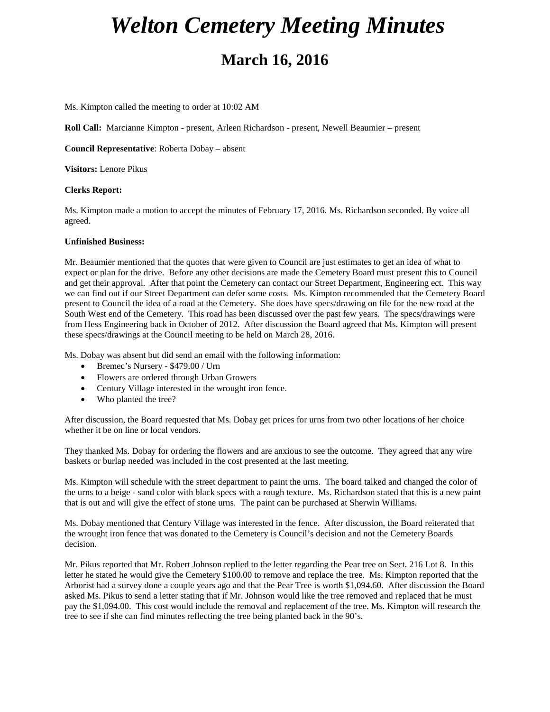## *Welton Cemetery Meeting Minutes* **March 16, 2016**

Ms. Kimpton called the meeting to order at 10:02 AM

**Roll Call:** Marcianne Kimpton - present, Arleen Richardson - present, Newell Beaumier – present

**Council Representative**: Roberta Dobay – absent

**Visitors:** Lenore Pikus

## **Clerks Report:**

Ms. Kimpton made a motion to accept the minutes of February 17, 2016. Ms. Richardson seconded. By voice all agreed.

## **Unfinished Business:**

Mr. Beaumier mentioned that the quotes that were given to Council are just estimates to get an idea of what to expect or plan for the drive. Before any other decisions are made the Cemetery Board must present this to Council and get their approval. After that point the Cemetery can contact our Street Department, Engineering ect. This way we can find out if our Street Department can defer some costs. Ms. Kimpton recommended that the Cemetery Board present to Council the idea of a road at the Cemetery. She does have specs/drawing on file for the new road at the South West end of the Cemetery. This road has been discussed over the past few years. The specs/drawings were from Hess Engineering back in October of 2012. After discussion the Board agreed that Ms. Kimpton will present these specs/drawings at the Council meeting to be held on March 28, 2016.

Ms. Dobay was absent but did send an email with the following information:

- Bremec's Nursery \$479.00 / Urn
- Flowers are ordered through Urban Growers
- Century Village interested in the wrought iron fence.
- Who planted the tree?

After discussion, the Board requested that Ms. Dobay get prices for urns from two other locations of her choice whether it be on line or local vendors.

They thanked Ms. Dobay for ordering the flowers and are anxious to see the outcome. They agreed that any wire baskets or burlap needed was included in the cost presented at the last meeting.

Ms. Kimpton will schedule with the street department to paint the urns. The board talked and changed the color of the urns to a beige - sand color with black specs with a rough texture. Ms. Richardson stated that this is a new paint that is out and will give the effect of stone urns. The paint can be purchased at Sherwin Williams.

Ms. Dobay mentioned that Century Village was interested in the fence. After discussion, the Board reiterated that the wrought iron fence that was donated to the Cemetery is Council's decision and not the Cemetery Boards decision.

Mr. Pikus reported that Mr. Robert Johnson replied to the letter regarding the Pear tree on Sect. 216 Lot 8. In this letter he stated he would give the Cemetery \$100.00 to remove and replace the tree. Ms. Kimpton reported that the Arborist had a survey done a couple years ago and that the Pear Tree is worth \$1,094.60. After discussion the Board asked Ms. Pikus to send a letter stating that if Mr. Johnson would like the tree removed and replaced that he must pay the \$1,094.00. This cost would include the removal and replacement of the tree. Ms. Kimpton will research the tree to see if she can find minutes reflecting the tree being planted back in the 90's.